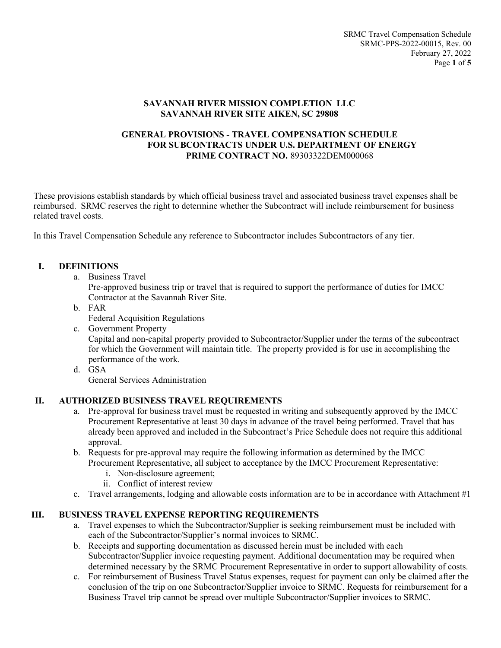### **SAVANNAH RIVER MISSION COMPLETION LLC SAVANNAH RIVER SITE AIKEN, SC 29808**

## **GENERAL PROVISIONS - TRAVEL COMPENSATION SCHEDULE FOR SUBCONTRACTS UNDER U.S. DEPARTMENT OF ENERGY PRIME CONTRACT NO.** 89303322DEM000068

These provisions establish standards by which official business travel and associated business travel expenses shall be reimbursed. SRMC reserves the right to determine whether the Subcontract will include reimbursement for business related travel costs.

In this Travel Compensation Schedule any reference to Subcontractor includes Subcontractors of any tier.

## **I. DEFINITIONS**

a. Business Travel

Pre-approved business trip or travel that is required to support the performance of duties for IMCC Contractor at the Savannah River Site.

b. FAR

Federal Acquisition Regulations

c. Government Property

Capital and non-capital property provided to Subcontractor/Supplier under the terms of the subcontract for which the Government will maintain title. The property provided is for use in accomplishing the performance of the work.

d. GSA

General Services Administration

# **II. AUTHORIZED BUSINESS TRAVEL REQUIREMENTS**

- a. Pre-approval for business travel must be requested in writing and subsequently approved by the IMCC Procurement Representative at least 30 days in advance of the travel being performed. Travel that has already been approved and included in the Subcontract's Price Schedule does not require this additional approval.
- b. Requests for pre-approval may require the following information as determined by the IMCC Procurement Representative, all subject to acceptance by the IMCC Procurement Representative:
	- i. Non-disclosure agreement;
	- ii. Conflict of interest review
- c. Travel arrangements, lodging and allowable costs information are to be in accordance with Attachment  $#1$

# **III. BUSINESS TRAVEL EXPENSE REPORTING REQUIREMENTS**

- a. Travel expenses to which the Subcontractor/Supplier is seeking reimbursement must be included with each of the Subcontractor/Supplier's normal invoices to SRMC.
- b. Receipts and supporting documentation as discussed herein must be included with each Subcontractor/Supplier invoice requesting payment. Additional documentation may be required when determined necessary by the SRMC Procurement Representative in order to support allowability of costs.
- c. For reimbursement of Business Travel Status expenses, request for payment can only be claimed after the conclusion of the trip on one Subcontractor/Supplier invoice to SRMC. Requests for reimbursement for a Business Travel trip cannot be spread over multiple Subcontractor/Supplier invoices to SRMC.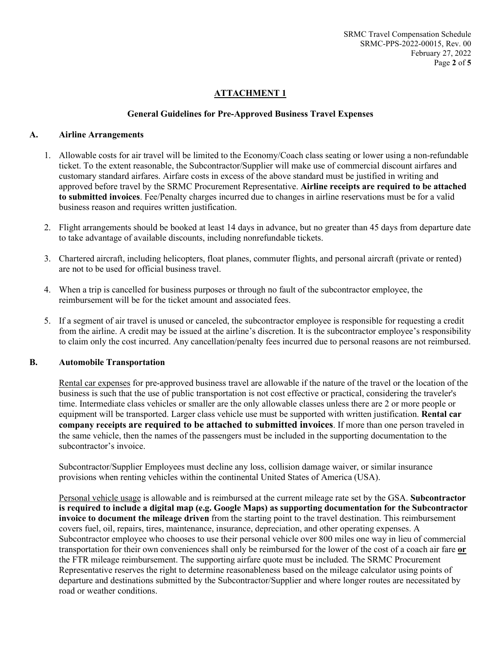## **ATTACHMENT 1**

#### **General Guidelines for Pre-Approved Business Travel Expenses**

#### **A. Airline Arrangements**

- 1. Allowable costs for air travel will be limited to the Economy/Coach class seating or lower using a non-refundable ticket. To the extent reasonable, the Subcontractor/Supplier will make use of commercial discount airfares and customary standard airfares. Airfare costs in excess of the above standard must be justified in writing and approved before travel by the SRMC Procurement Representative. **Airline receipts are required to be attached to submitted invoices**. Fee/Penalty charges incurred due to changes in airline reservations must be for a valid business reason and requires written justification.
- 2. Flight arrangements should be booked at least 14 days in advance, but no greater than 45 days from departure date to take advantage of available discounts, including nonrefundable tickets.
- 3. Chartered aircraft, including helicopters, float planes, commuter flights, and personal aircraft (private or rented) are not to be used for official business travel.
- 4. When a trip is cancelled for business purposes or through no fault of the subcontractor employee, the reimbursement will be for the ticket amount and associated fees.
- 5. If a segment of air travel is unused or canceled, the subcontractor employee is responsible for requesting a credit from the airline. A credit may be issued at the airline's discretion. It is the subcontractor employee's responsibility to claim only the cost incurred. Any cancellation/penalty fees incurred due to personal reasons are not reimbursed.

### **B. Automobile Transportation**

Rental car expenses for pre-approved business travel are allowable if the nature of the travel or the location of the business is such that the use of public transportation is not cost effective or practical, considering the traveler's time. Intermediate class vehicles or smaller are the only allowable classes unless there are 2 or more people or equipment will be transported. Larger class vehicle use must be supported with written justification. **Rental car company receipts are required to be attached to submitted invoices**. If more than one person traveled in the same vehicle, then the names of the passengers must be included in the supporting documentation to the subcontractor's invoice.

Subcontractor/Supplier Employees must decline any loss, collision damage waiver, or similar insurance provisions when renting vehicles within the continental United States of America (USA).

Personal vehicle usage is allowable and is reimbursed at the current mileage rate set by the GSA. **Subcontractor is required to include a digital map (e.g. Google Maps) as supporting documentation for the Subcontractor invoice to document the mileage driven** from the starting point to the travel destination. This reimbursement covers fuel, oil, repairs, tires, maintenance, insurance, depreciation, and other operating expenses. A Subcontractor employee who chooses to use their personal vehicle over 800 miles one way in lieu of commercial transportation for their own conveniences shall only be reimbursed for the lower of the cost of a coach air fare **or** the FTR mileage reimbursement. The supporting airfare quote must be included. The SRMC Procurement Representative reserves the right to determine reasonableness based on the mileage calculator using points of departure and destinations submitted by the Subcontractor/Supplier and where longer routes are necessitated by road or weather conditions.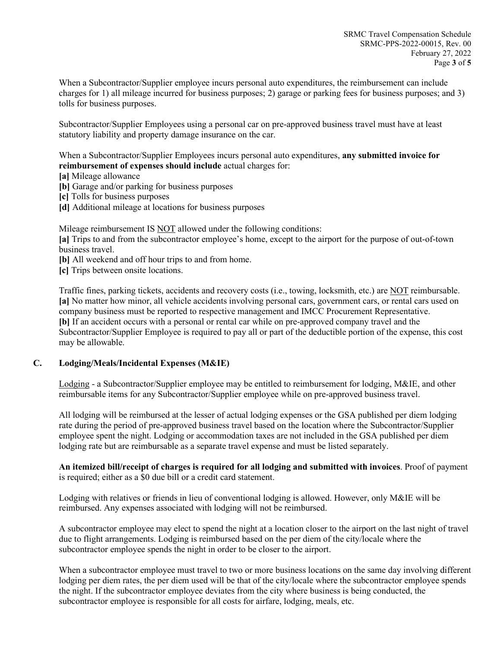When a Subcontractor/Supplier employee incurs personal auto expenditures, the reimbursement can include charges for 1) all mileage incurred for business purposes; 2) garage or parking fees for business purposes; and 3) tolls for business purposes.

Subcontractor/Supplier Employees using a personal car on pre-approved business travel must have at least statutory liability and property damage insurance on the car.

When a Subcontractor/Supplier Employees incurs personal auto expenditures, **any submitted invoice for reimbursement of expenses should include** actual charges for:

- **[a]** Mileage allowance
- **[b]** Garage and/or parking for business purposes
- **[c]** Tolls for business purposes
- **[d]** Additional mileage at locations for business purposes

Mileage reimbursement IS NOT allowed under the following conditions:

**[a]** Trips to and from the subcontractor employee's home, except to the airport for the purpose of out-of-town business travel.

**[b]** All weekend and off hour trips to and from home.

**[c]** Trips between onsite locations.

Traffic fines, parking tickets, accidents and recovery costs (i.e., towing, locksmith, etc.) are NOT reimbursable. **[a]** No matter how minor, all vehicle accidents involving personal cars, government cars, or rental cars used on company business must be reported to respective management and IMCC Procurement Representative. **[b]** If an accident occurs with a personal or rental car while on pre-approved company travel and the Subcontractor/Supplier Employee is required to pay all or part of the deductible portion of the expense, this cost may be allowable.

# **C. Lodging/Meals/Incidental Expenses (M&IE)**

Lodging - a Subcontractor/Supplier employee may be entitled to reimbursement for lodging, M&IE, and other reimbursable items for any Subcontractor/Supplier employee while on pre-approved business travel.

All lodging will be reimbursed at the lesser of actual lodging expenses or the GSA published per diem lodging rate during the period of pre-approved business travel based on the location where the Subcontractor/Supplier employee spent the night. Lodging or accommodation taxes are not included in the GSA published per diem lodging rate but are reimbursable as a separate travel expense and must be listed separately.

**An itemized bill/receipt of charges is required for all lodging and submitted with invoices**. Proof of payment is required; either as a \$0 due bill or a credit card statement.

Lodging with relatives or friends in lieu of conventional lodging is allowed. However, only M&IE will be reimbursed. Any expenses associated with lodging will not be reimbursed.

A subcontractor employee may elect to spend the night at a location closer to the airport on the last night of travel due to flight arrangements. Lodging is reimbursed based on the per diem of the city/locale where the subcontractor employee spends the night in order to be closer to the airport.

When a subcontractor employee must travel to two or more business locations on the same day involving different lodging per diem rates, the per diem used will be that of the city/locale where the subcontractor employee spends the night. If the subcontractor employee deviates from the city where business is being conducted, the subcontractor employee is responsible for all costs for airfare, lodging, meals, etc.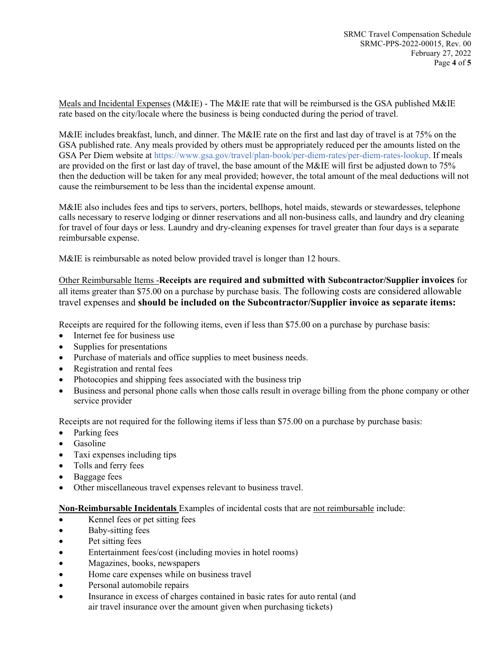Meals and Incidental Expenses (M&IE) - The M&IE rate that will be reimbursed is the GSA published M&IE rate based on the city/locale where the business is being conducted during the period of travel.

M&IE includes breakfast, lunch, and dinner. The M&IE rate on the first and last day of travel is at 75% on the GSA published rate. Any meals provided by others must be appropriately reduced per the amounts listed on the GSA Per Diem website at https://www.gsa.gov/travel/plan-book/per-diem-rates/per-diem-rates-lookup. If meals are provided on the first or last day of travel, the base amount of the M&IE will first be adjusted down to 75% then the deduction will be taken for any meal provided; however, the total amount of the meal deductions will not cause the reimbursement to be less than the incidental expense amount.

M&IE also includes fees and tips to servers, porters, bellhops, hotel maids, stewards or stewardesses, telephone calls necessary to reserve lodging or dinner reservations and all non-business calls, and laundry and dry cleaning for travel of four days or less. Laundry and dry-cleaning expenses for travel greater than four days is a separate reimbursable expense.

M&IE is reimbursable as noted below provided travel is longer than 12 hours.

Other Reimbursable Items -**Receipts are required and submitted with Subcontractor/Supplier invoices** for all items greater than \$75.00 on a purchase by purchase basis. The following costs are considered allowable travel expenses and **should be included on the Subcontractor/Supplier invoice as separate items:** 

Receipts are required for the following items, even if less than \$75.00 on a purchase by purchase basis:

- Internet fee for business use
- Supplies for presentations
- Purchase of materials and office supplies to meet business needs.
- Registration and rental fees
- Photocopies and shipping fees associated with the business trip
- Business and personal phone calls when those calls result in overage billing from the phone company or other service provider

Receipts are not required for the following items if less than \$75.00 on a purchase by purchase basis:

- Parking fees
- Gasoline
- Taxi expenses including tips
- Tolls and ferry fees
- Baggage fees
- Other miscellaneous travel expenses relevant to business travel.

**Non-Reimbursable Incidentals** Examples of incidental costs that are not reimbursable include:

- Kennel fees or pet sitting fees
- Baby-sitting fees
- Pet sitting fees
- Entertainment fees/cost (including movies in hotel rooms)
- Magazines, books, newspapers
- Home care expenses while on business travel
- Personal automobile repairs
- Insurance in excess of charges contained in basic rates for auto rental (and air travel insurance over the amount given when purchasing tickets)